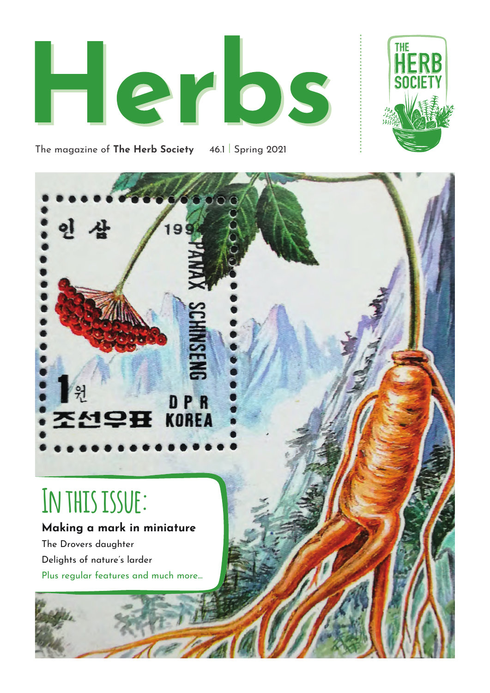



The magazine of **The Herb Society** 46.1 | Spring 2021



# **In this issue:**

#### **Making a mark in miniature**

The Drovers daughter Delights of nature's larder Plus regular features and much more...